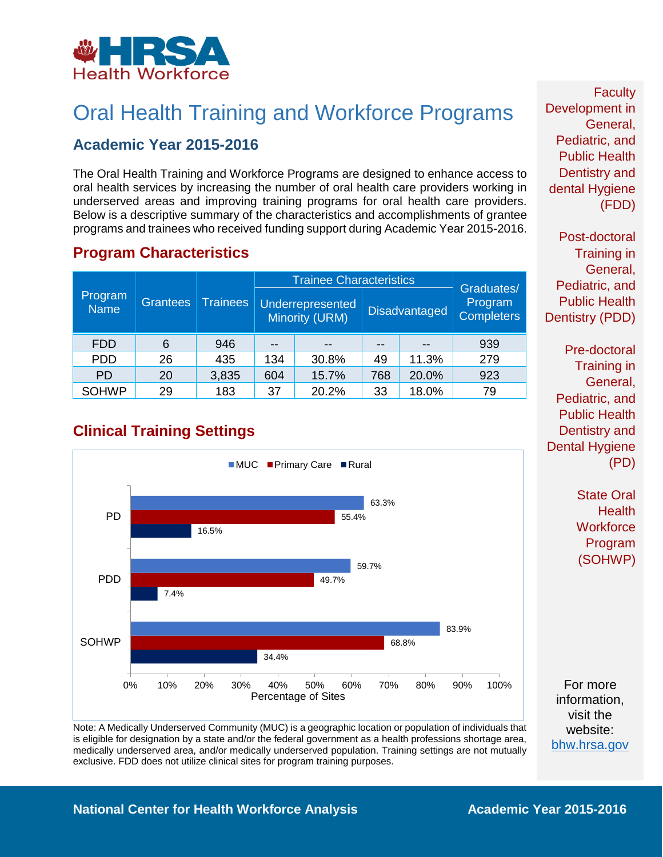

## Oral Health Training and Workforce Programs

### **Academic Year 2015-2016**

The Oral Health Training and Workforce Programs are designed to enhance access to oral health services by increasing the number of oral health care providers working in underserved areas and improving training programs for oral health care providers. Below is a descriptive summary of the characteristics and accomplishments of grantee programs and trainees who received funding support during Academic Year 2015-2016.

#### **Program Characteristics**

|                        | <b>Grantees</b> | <b>Trainees</b> | <b>Trainee Characteristics</b> |                                    |                      |       | Graduates/                   |
|------------------------|-----------------|-----------------|--------------------------------|------------------------------------|----------------------|-------|------------------------------|
| Program<br><b>Name</b> |                 |                 |                                | Underrepresented<br>Minority (URM) | <b>Disadvantaged</b> |       | Program<br><b>Completers</b> |
| <b>FDD</b>             | 6               | 946             | $-$                            | $- -$                              | $- -$                |       | 939                          |
| <b>PDD</b>             | 26              | 435             | 134                            | 30.8%                              | 49                   | 11.3% | 279                          |
| <b>PD</b>              | 20              | 3,835           | 604                            | 15.7%                              | 768                  | 20.0% | 923                          |
| <b>SOHWP</b>           | 29              | 183             | 37                             | 20.2%                              | 33                   | 18.0% | 79                           |

### **Clinical Training Settings**



Note: A Medically Underserved Community (MUC) is a geographic location or population of individuals that is eligible for designation by a state and/or the federal government as a health professions shortage area, medically underserved area, and/or medically underserved population. Training settings are not mutually exclusive. FDD does not utilize clinical sites for program training purposes.

**Faculty** Development in General, Pediatric, and Public Health Dentistry and dental Hygiene (FDD)

Post-doctoral Training in General, Pediatric, and Public Health Dentistry (PDD)

Pre-doctoral Training in General, Pediatric, and Public Health Dentistry and Dental Hygiene (PD)

> State Oral **Health Workforce** Program (SOHWP)

For more information, visit the website: [bhw.hrsa.gov](http://bhw.hrsa.gov/)

#### **National Center for Health Workforce Analysis <b>Academic Year 2015-2016**